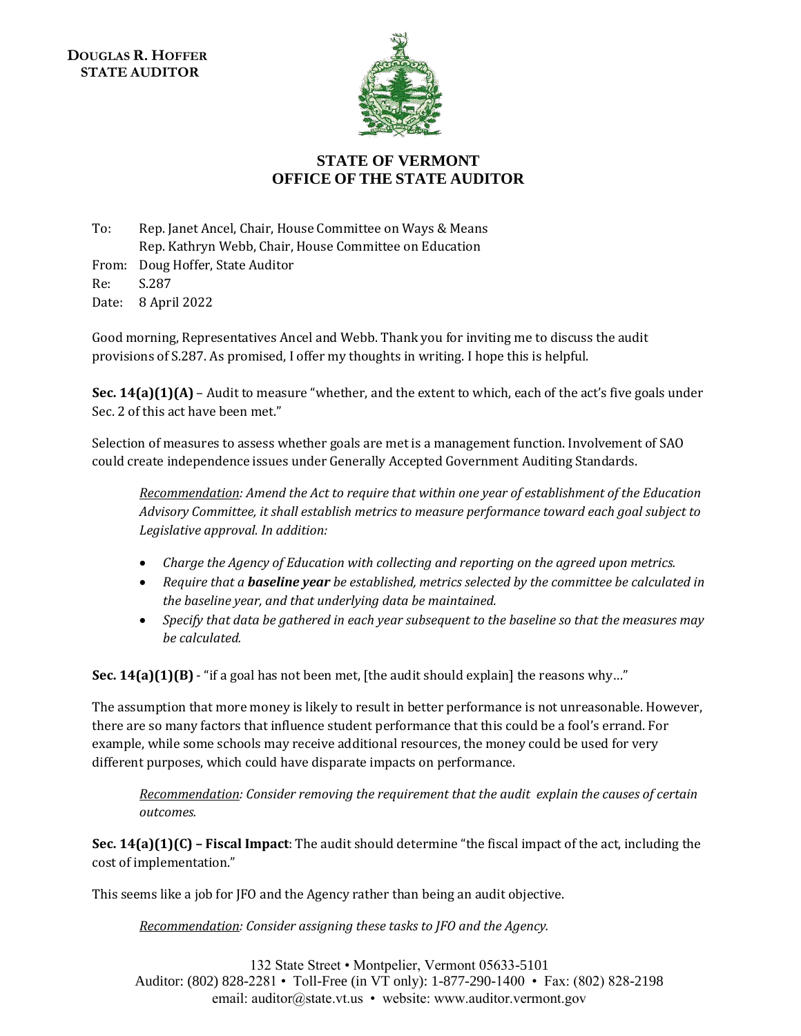

## **STATE OF VERMONT OFFICE OF THE STATE AUDITOR**

To: Rep. Janet Ancel, Chair, House Committee on Ways & Means Rep. Kathryn Webb, Chair, House Committee on Education From: Doug Hoffer, State Auditor Re: S.287 Date: 8 April 2022

Good morning, Representatives Ancel and Webb. Thank you for inviting me to discuss the audit provisions of S.287. As promised, I offer my thoughts in writing. I hope this is helpful.

**Sec. 14(a)(1)(A)** – Audit to measure "whether, and the extent to which, each of the act's five goals under Sec. 2 of this act have been met."

Selection of measures to assess whether goals are met is a management function. Involvement of SAO could create independence issues under Generally Accepted Government Auditing Standards.

*Recommendation: Amend the Act to require that within one year of establishment of the Education Advisory Committee, it shall establish metrics to measure performance toward each goal subject to Legislative approval. In addition:*

- *Charge the Agency of Education with collecting and reporting on the agreed upon metrics.*
- *Require that a baseline year be established, metrics selected by the committee be calculated in the baseline year, and that underlying data be maintained.*
- *Specify that data be gathered in each year subsequent to the baseline so that the measures may be calculated.*

**Sec. 14(a)(1)(B)** - "if a goal has not been met, [the audit should explain] the reasons why..."

The assumption that more money is likely to result in better performance is not unreasonable. However, there are so many factors that influence student performance that this could be a fool's errand. For example, while some schools may receive additional resources, the money could be used for very different purposes, which could have disparate impacts on performance.

*Recommendation: Consider removing the requirement that the audit explain the causes of certain outcomes.* 

**Sec. 14(a)(1)(C) – Fiscal Impact**: The audit should determine "the fiscal impact of the act, including the cost of implementation."

This seems like a job for JFO and the Agency rather than being an audit objective.

*Recommendation: Consider assigning these tasks to JFO and the Agency.*